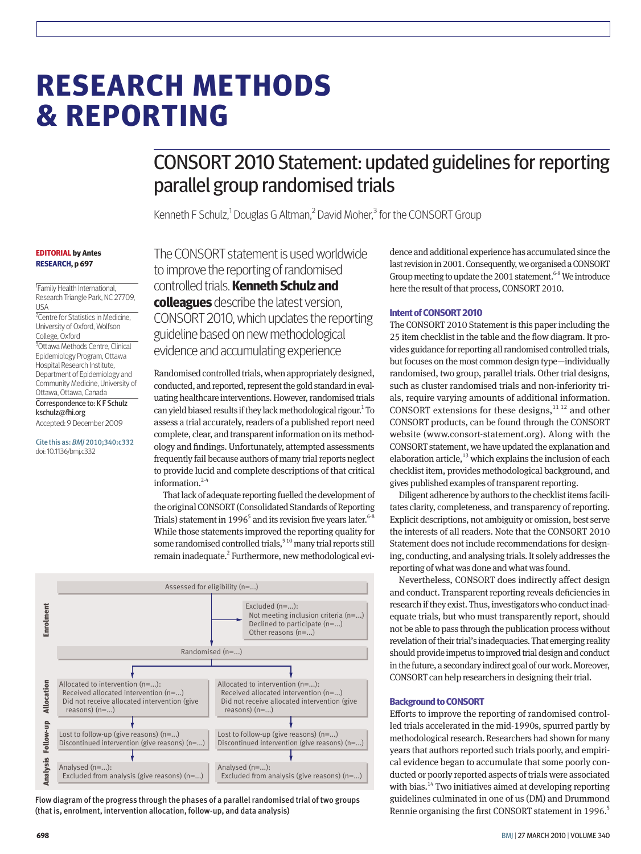# **research methods & reporting**

# CONSORT 2010 Statement: updated guidelines for reporting parallel group randomised trials

Kenneth F Schulz,<sup>1</sup> Douglas G Altman,<sup>2</sup> David Moher,<sup>3</sup> for the CONSORT Group

#### **Editorial by Antes Research, p 697**

1 Family Health International, Research Triangle Park, NC 27709, USA

<sup>2</sup> Centre for Statistics in Medicine, University of Oxford, Wolfson College, Oxford

3 Ottawa Methods Centre, Clinical Epidemiology Program, Ottawa Hospital Research Institute, Department of Epidemiology and Community Medicine, University of Ottawa, Ottawa, Canada

#### Correspondence to: K F Schulz kschulz@fhi.org

Accepted: 9 December 2009

Cite this as: *BMJ* 2010;340:c332 doi: 10.1136/bmj.c332

The CONSORT statement is used worldwide to improve the reporting of randomised controlled trials. **Kenneth Schulz and colleagues** describe the latest version, CONSORT 2010, which updates the reporting guideline based on new methodological evidence and accumulating experience

Randomised controlled trials, when appropriately designed, conducted, and reported, represent the gold standard in evaluating healthcare interventions. However, randomised trials can yield biased results if they lack methodological rigour.<sup>1</sup> To assess a trial accurately, readers of a published report need complete, clear, and transparent information on its methodology and findings. Unfortunately, attempted assessments frequently fail because authors of many trial reports neglect to provide lucid and complete descriptions of that critical information.<sup>2-4</sup>

That lack of adequate reporting fuelled the development of the original CONSORT (Consolidated Standards of Reporting Trials) statement in 1996 $^5$  and its revision five years later. $^{6\cdot 8}$ While those statements improved the reporting quality for some randomised controlled trials,<sup>910</sup> many trial reports still remain inadequate.<sup>2</sup> Furthermore, new methodological evi-



Flow diagram of the progress through the phases of a parallel randomised trial of two groups (that is, enrolment, intervention allocation, follow-up, and data analysis)

dence and additional experience has accumulated since the last revision in 2001. Consequently, we organised a CONSORT Group meeting to update the 2001 statement.<sup>6-8</sup> We introduce here the result of that process, CONSORT 2010.

## **Intent of CONSORT 2010**

The CONSORT 2010 Statement is this paper including the 25 item checklist in the table and the flow diagram. It provides guidance for reporting all randomised controlled trials, but focuses on the most common design type—individually randomised, two group, parallel trials. Other trial designs, such as cluster randomised trials and non-inferiority trials, require varying amounts of additional information. CONSORT extensions for these designs, $1112$  and other CONSORT products, can be found through the CONSORT website (www.consort-statement.org). Along with the CONSORT statement, we have updated the explanation and elaboration article, $13$  which explains the inclusion of each checklist item, provides methodological background, and gives published examples of transparent reporting.

Diligent adherence by authors to the checklist items facili‑ tates clarity, completeness, and transparency of reporting. Explicit descriptions, not ambiguity or omission, best serve the interests of all readers. Note that the CONSORT 2010 Statement does not include recommendations for designing, conducting, and analysing trials. It solely addresses the reporting of what was done and what was found.

Nevertheless, CONSORT does indirectly affect design and conduct. Transparent reporting reveals deficiencies in research if they exist. Thus, investigators who conduct inadequate trials, but who must transparently report, should not be able to pass through the publication process without revelation of their trial's inadequacies. That emerging reality should provide impetus to improved trial design and conduct in the future, a secondary indirect goal of our work. Moreover, CONSORT can help researchers in designing their trial.

## **Background to CONSORT**

Efforts to improve the reporting of randomised controlled trials accelerated in the mid-1990s, spurred partly by methodological research. Researchers had shown for many years that authors reported such trials poorly, and empirical evidence began to accumulate that some poorly conducted or poorly reported aspects of trials were associated with bias.<sup>14</sup> Two initiatives aimed at developing reporting guidelines culminated in one of us (DM) and Drummond Rennie organising the first CONSORT statement in 1996.<sup>5</sup>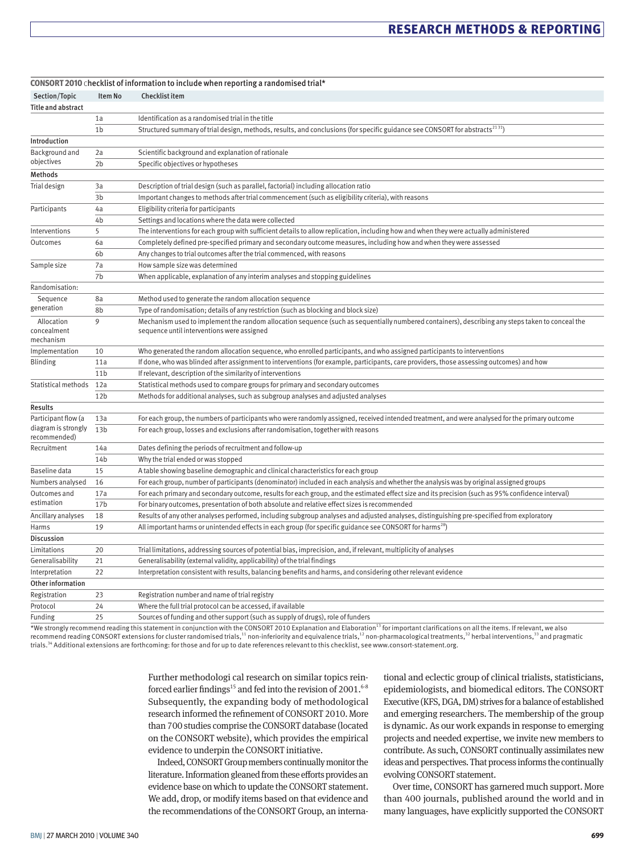| Section/Topic                       | <b>Item No</b>  | Checklist item                                                                                                                                    |
|-------------------------------------|-----------------|---------------------------------------------------------------------------------------------------------------------------------------------------|
| <b>Title and abstract</b>           |                 |                                                                                                                                                   |
|                                     | 1a              | Identification as a randomised trial in the title                                                                                                 |
|                                     | 1 <sub>b</sub>  | Structured summary of trial design, methods, results, and conclusions (for specific guidance see CONSORT for abstracts <sup>2131</sup> )          |
| Introduction                        |                 |                                                                                                                                                   |
| Background and                      | 2a              | Scientific background and explanation of rationale                                                                                                |
| objectives                          | 2 <sub>b</sub>  | Specific objectives or hypotheses                                                                                                                 |
| Methods                             |                 |                                                                                                                                                   |
| Trial design                        | 3a              | Description of trial design (such as parallel, factorial) including allocation ratio                                                              |
|                                     | 3b              | Important changes to methods after trial commencement (such as eligibility criteria), with reasons                                                |
| Participants                        | 4a              | Eligibility criteria for participants                                                                                                             |
|                                     | 4b              | Settings and locations where the data were collected                                                                                              |
| Interventions                       | 5               | The interventions for each group with sufficient details to allow replication, including how and when they were actually administered             |
| Outcomes                            | 6a              | Completely defined pre-specified primary and secondary outcome measures, including how and when they were assessed                                |
|                                     | 6b              | Any changes to trial outcomes after the trial commenced, with reasons                                                                             |
| Sample size                         | 7a              | How sample size was determined                                                                                                                    |
|                                     | 7b              | When applicable, explanation of any interim analyses and stopping guidelines                                                                      |
| Randomisation:                      |                 |                                                                                                                                                   |
| Sequence                            | 8a              | Method used to generate the random allocation sequence                                                                                            |
| generation                          | 8b              | Type of randomisation; details of any restriction (such as blocking and block size)                                                               |
| Allocation                          | 9               | Mechanism used to implement the random allocation sequence (such as sequentially numbered containers), describing any steps taken to conceal the  |
| concealment                         |                 | sequence until interventions were assigned                                                                                                        |
| mechanism                           |                 |                                                                                                                                                   |
| Implementation                      | 10              | Who generated the random allocation sequence, who enrolled participants, and who assigned participants to interventions                           |
| Blinding                            | 11a             | If done, who was blinded after assignment to interventions (for example, participants, care providers, those assessing outcomes) and how          |
|                                     | 11 <sub>b</sub> | If relevant, description of the similarity of interventions                                                                                       |
| Statistical methods                 | 12a             | Statistical methods used to compare groups for primary and secondary outcomes                                                                     |
|                                     | 12 <sub>b</sub> | Methods for additional analyses, such as subgroup analyses and adjusted analyses                                                                  |
| Results                             |                 |                                                                                                                                                   |
| Participant flow (a                 | 13a             | For each group, the numbers of participants who were randomly assigned, received intended treatment, and were analysed for the primary outcome    |
| diagram is strongly<br>recommended) | 13 <sub>b</sub> | For each group, losses and exclusions after randomisation, together with reasons                                                                  |
| Recruitment                         | 14a             | Dates defining the periods of recruitment and follow-up                                                                                           |
|                                     | 14 <sub>b</sub> | Why the trial ended or was stopped                                                                                                                |
| Baseline data                       | 15              | A table showing baseline demographic and clinical characteristics for each group                                                                  |
| Numbers analysed                    | 16              | For each group, number of participants (denominator) included in each analysis and whether the analysis was by original assigned groups           |
| Outcomes and                        | 17a             | For each primary and secondary outcome, results for each group, and the estimated effect size and its precision (such as 95% confidence interval) |
| estimation                          | 17 <sub>b</sub> | For binary outcomes, presentation of both absolute and relative effect sizes is recommended                                                       |
| Ancillary analyses                  | 18              | Results of any other analyses performed, including subgroup analyses and adjusted analyses, distinguishing pre-specified from exploratory         |
| Harms                               | 19              | All important harms or unintended effects in each group (for specific guidance see CONSORT for harms <sup>28</sup> )                              |
| <b>Discussion</b>                   |                 |                                                                                                                                                   |
| Limitations                         | 20              | Trial limitations, addressing sources of potential bias, imprecision, and, if relevant, multiplicity of analyses                                  |
| Generalisability                    | 21              | Generalisability (external validity, applicability) of the trial findings                                                                         |
| Interpretation                      | 22              | Interpretation consistent with results, balancing benefits and harms, and considering other relevant evidence                                     |
| Other information                   |                 |                                                                                                                                                   |
| Registration                        | 23              | Registration number and name of trial registry                                                                                                    |
| Protocol                            | 24              | Where the full trial protocol can be accessed, if available                                                                                       |
| Funding                             | 25              | Sources of funding and other support (such as supply of drugs), role of funders                                                                   |

# **CONSORT 2010** checklist of information to include when reporting a randomised trial\*

\*We strongly recommend reading this statement in conjunction with the CONSORT 2010 Explanation and Elaboration13 for important clarifications on all the items. If relevant, we also

recommend reading CONSORT extensions for cluster randomised trials,<sup>11</sup> non-inferiority and equivalence trials,<sup>12</sup> non-pharmacological treatments,<sup>32</sup> herbal interventions,<sup>33</sup> and pragmatic trials.<sup>34</sup> Additional extensions are forthcoming: for those and for up to date references relevant to this checklist, see www.consort-statement.org.

> Further methodologi cal research on similar topics reinforced earlier findings<sup>15</sup> and fed into the revision of 2001.<sup>6-8</sup> Subsequently, the expanding body of methodological research informed the refinement of CONSORT 2010. More than 700 studies comprise the CONSORT database (located on the CONSORT website), which provides the empirical evidence to underpin the CONSORT initiative.

Indeed, CONSORT Group members continually monitor the literature. Information gleaned from these efforts provides an evidence base on which to update the CONSORT statement. We add, drop, or modify items based on that evidence and the recommendations of the CONSORT Group, an interna-

tional and eclectic group of clinical trialists, statisticians, epidemiologists, and biomedical editors. The CONSORT Executive (KFS, DGA, DM) strives for a balance of established and emerging researchers. The membership of the group is dynamic. As our work expands in response to emerging projects and needed expertise, we invite new members to contribute. As such, CONSORT continually assimilates new ideas and perspectives. That process informs the continually evolving CONSORT statement.

Over time, CONSORT has garnered much support. More than 400 journals, published around the world and in many languages, have explicitly supported the CONSORT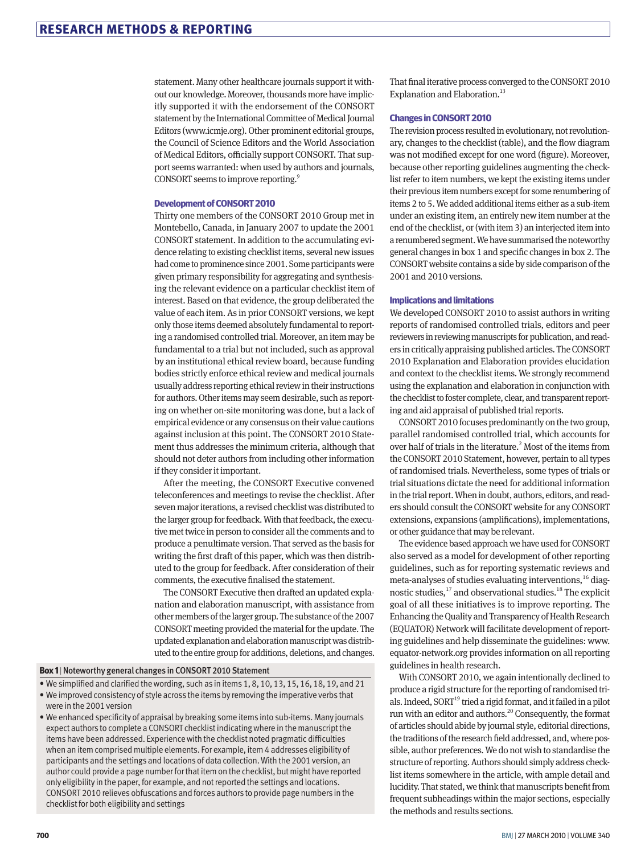statement. Many other healthcare journals support it without our knowledge. Moreover, thousands more have implicitly supported it with the endorsement of the CONSORT statement by the International Committee of Medical Journal Editors (www.icmje.org). Other prominent editorial groups, the Council of Science Editors and the World Association of Medical Editors, officially support CONSORT. That support seems warranted: when used by authors and journals, CONSORT seems to improve reporting.<sup>9</sup>

#### **Development of CONSORT 2010**

Thirty one members of the CONSORT 2010 Group met in Montebello, Canada, in January 2007 to update the 2001 CONSORT statement. In addition to the accumulating evidence relating to existing checklist items, several new issues had come to prominence since 2001. Some participants were given primary responsibility for aggregating and synthesising the relevant evidence on a particular checklist item of interest. Based on that evidence, the group deliberated the value of each item. As in prior CONSORT versions, we kept only those items deemed absolutely fundamental to reporting a randomised controlled trial. Moreover, an item may be fundamental to a trial but not included, such as approval by an institutional ethical review board, because funding bodies strictly enforce ethical review and medical journals usually address reporting ethical review in their instructions for authors. Other items may seem desirable, such as reporting on whether on-site monitoring was done, but a lack of empirical evidence or any consensus on their value cautions against inclusion at this point. The CONSORT 2010 Statement thus addresses the minimum criteria, although that should not deter authors from including other information if they consider it important.

After the meeting, the CONSORT Executive convened teleconferences and meetings to revise the checklist. After seven major iterations, a revised checklist was distributed to the larger group for feedback. With that feedback, the executive met twice in person to consider all the comments and to produce a penultimate version. That served as the basis for writing the first draft of this paper, which was then distributed to the group for feedback. After consideration of their comments, the executive finalised the statement.

The CONSORT Executive then drafted an updated explanation and elaboration manuscript, with assistance from other members of the larger group. The substance of the 2007 CONSORT meeting provided the material for the update. The updated explanation and elaboration manuscript was distributed to the entire group for additions, deletions, and changes.

#### **Box 1** | Noteworthy general changes in CONSORT 2010 Statement

- • We simplified and clarified the wording, such as in items 1, 8, 10, 13, 15, 16, 18, 19, and 21
- We improved consistency of style across the items by removing the imperative verbs that were in the 2001 version
- • We enhanced specificity of appraisal by breaking some items into sub-items. Many journals expect authors to complete a CONSORT checklist indicating where in the manuscript the items have been addressed. Experience with the checklist noted pragmatic difficulties when an item comprised multiple elements. For example, item 4 addresses eligibility of participants and the settings and locations of data collection. With the 2001 version, an author could provide a page number for that item on the checklist, but might have reported only eligibility in the paper, for example, and not reported the settings and locations. CONSORT 2010 relieves obfuscations and forces authors to provide page numbers in the checklist for both eligibility and settings

That final iterative process converged to the CONSORT 2010 Explanation and Elaboration.<sup>13</sup>

#### **Changes in CONSORT 2010**

The revision process resulted in evolutionary, not revolutionary, changes to the checklist (table), and the flow diagram was not modified except for one word (figure). Moreover, because other reporting guidelines augmenting the checklist refer to item numbers, we kept the existing items under their previous item numbers except for some renumbering of items 2 to 5. We added additional items either as a sub-item under an existing item, an entirely new item number at the end of the checklist, or (with item 3) an interjected item into a renumbered segment. We have summarised the noteworthy general changes in box 1 and specific changes in box 2. The CONSORT website contains a side by side comparison of the 2001 and 2010 versions.

#### **Implications and limitations**

We developed CONSORT 2010 to assist authors in writing reports of randomised controlled trials, editors and peer reviewers in reviewing manuscripts for publication, and readers in critically appraising published articles. The CONSORT 2010 Explanation and Elaboration provides elucidation and context to the checklist items. We strongly recommend using the explanation and elaboration in conjunction with the checklist to foster complete, clear, and transparent reporting and aid appraisal of published trial reports.

CONSORT 2010 focuses predominantly on the two group, parallel randomised controlled trial, which accounts for over half of trials in the literature.<sup>2</sup> Most of the items from the CONSORT 2010 Statement, however, pertain to all types of randomised trials. Nevertheless, some types of trials or trial situations dictate the need for additional information in the trial report. When in doubt, authors, editors, and readers should consult the CONSORT website for any CONSORT extensions, expansions (amplifications), implementations, or other guidance that may be relevant.

The evidence based approach we have used for CONSORT also served as a model for development of other reporting guidelines, such as for reporting systematic reviews and meta-analyses of studies evaluating interventions, $^{16}$  diagnostic studies,17 and observational studies.18 The explicit goal of all these initiatives is to improve reporting. The Enhancing the Quality and Transparency of Health Research (EQUATOR) Network will facilitate development of reporting guidelines and help disseminate the guidelines: www. equator-network.org provides information on all reporting guidelines in health research.

With CONSORT 2010, we again intentionally declined to produce a rigid structure for the reporting of randomised trials. Indeed, SORT<sup>19</sup> tried a rigid format, and it failed in a pilot run with an editor and authors.20 Consequently, the format of articles should abide by journal style, editorial directions, the traditions of the research field addressed, and, where possible, author preferences. We do not wish to standardise the structure of reporting. Authors should simply address checklist items somewhere in the article, with ample detail and lucidity. That stated, we think that manuscripts benefit from frequent subheadings within the major sections, especially the methods and results sections.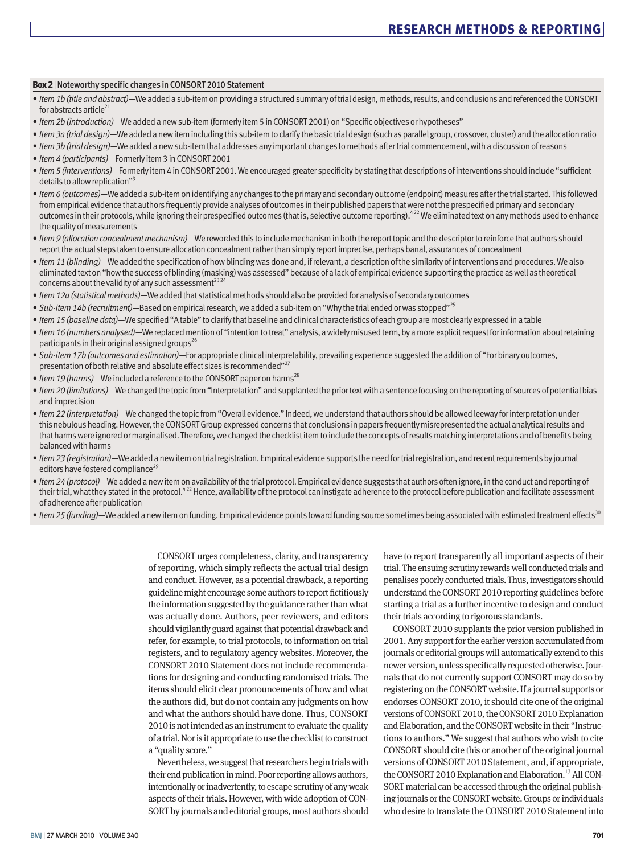#### **Box 2** | Noteworthy specific changes in CONSORT 2010 Statement

- *Item 1b (title and abstract)*—We added a sub-item on providing a structured summary of trial design, methods, results, and conclusions and referenced the CONSORT for abstracts article<sup>21</sup>
- • *Item 2b (introduction)—*We added a new sub-item (formerly item 5 in CONSORT 2001) on "Specific objectives or hypotheses"
- • *Item 3a (trial design)—*We added a new item including this sub-item to clarify the basic trial design (such as parallel group, crossover, cluster) and the allocation ratio
- • *Item 3b (trial design)—*We added a new sub-item that addresses any important changes to methods after trial commencement, with a discussion of reasons
- • *Item 4 (participants)—*Formerly item 3 in CONSORT 2001
- • *Item 5 (interventions)—*Formerly item 4 in CONSORT 2001. We encouraged greater specificity by stating that descriptions of interventions should include "sufficient details to allow replication"3
- • *Item 6 (outcomes)—*We added a sub-item on identifying any changes to the primary and secondary outcome (endpoint) measures after the trial started. This followed from empirical evidence that authors frequently provide analyses of outcomes in their published papers that were not the prespecified primary and secondary outcomes in their protocols, while ignoring their prespecified outcomes (that is, selective outcome reporting).<sup>422</sup> We eliminated text on any methods used to enhance the quality of measurements
- • *Item 9 (allocation concealment mechanism)—*We reworded this to include mechanism in both the report topic and the descriptor to reinforce that authors should report the actual steps taken to ensure allocation concealment rather than simply report imprecise, perhaps banal, assurances of concealment
- Item 11 (blinding)—We added the specification of how blinding was done and, if relevant, a description of the similarity of interventions and procedures. We also eliminated text on "how the success of blinding (masking) was assessed" because of a lack of empirical evidence supporting the practice as well as theoretical concerns about the validity of any such assessment<sup>2324</sup>
- • *Item 12a (statistical methods)—*We added that statistical methods should also be provided for analysis of secondary outcomes
- Sub-item 14b (recruitment)—Based on empirical research, we added a sub-item on "Why the trial ended or was stopped"<sup>25</sup>
- • *Item 15 (baseline data)—*We specified "A table" to clarify that baseline and clinical characteristics of each group are most clearly expressed in a table
- • *Item 16 (numbers analysed)—*We replaced mention of "intention to treat" analysis, a widely misused term, by a more explicit request for information about retaining participants in their original assigned groups<sup>26</sup>
- • *Sub-item 17b (outcomes and estimation)—*For appropriate clinical interpretability, prevailing experience suggested the addition of "For binary outcomes, presentation of both relative and absolute effect sizes is recommended"<sup>27</sup>
- *Item 19 (harms)*—We included a reference to the CONSORT paper on harms<sup>28</sup>
- • *Item 20 (limitations)—*We changed the topic from "Interpretation" and supplanted the prior text with a sentence focusing on the reporting of sources of potential bias and imprecision
- Item 22 (interpretation)—We changed the topic from "Overall evidence." Indeed, we understand that authors should be allowed leeway for interpretation under this nebulous heading. However, the CONSORT Group expressed concerns that conclusions in papers frequently misrepresented the actual analytical results and that harms were ignored or marginalised. Therefore, we changed the checklist item to include the concepts of results matching interpretations and of benefits being balanced with harms
- *Item 23 (registration)—*We added a new item on trial registration. Empirical evidence supports the need for trial registration, and recent requirements by journal editors have fostered compliance<sup>29</sup>
- *Item 24 (protocol)—*We added a new item on availability of the trial protocol. Empirical evidence suggests that authors often ignore, in the conduct and reporting of their trial, what they stated in the protocol.<sup>422</sup> Hence, availability of the protocol can instigate adherence to the protocol before publication and facilitate assessment of adherence after publication
- *Item 25 (funding)*—We added a new item on funding. Empirical evidence points toward funding source sometimes being associated with estimated treatment effects<sup>30</sup>

CONSORT urges completeness, clarity, and transparency of reporting, which simply reflects the actual trial design and conduct. However, as a potential drawback, a reporting guideline might encourage some authors to report fictitiously the information suggested by the guidance rather than what was actually done. Authors, peer reviewers, and editors should vigilantly guard against that potential drawback and refer, for example, to trial protocols, to information on trial registers, and to regulatory agency websites. Moreover, the CONSORT 2010 Statement does not include recommenda‑ tions for designing and conducting randomised trials. The items should elicit clear pronouncements of how and what the authors did, but do not contain any judgments on how and what the authors should have done. Thus, CONSORT 2010 is not intended as an instrument to evaluate the quality of a trial. Nor is it appropriate to use the checklist to construct a "quality score."

Nevertheless, we suggest that researchers begin trials with their end publication in mind. Poor reporting allows authors, intentionally or inadvertently, to escape scrutiny of any weak aspects of their trials. However, with wide adoption of CON-SORT by journals and editorial groups, most authors should have to report transparently all important aspects of their trial. The ensuing scrutiny rewards well conducted trials and penalises poorly conducted trials. Thus, investigators should understand the CONSORT 2010 reporting guidelines before starting a trial as a further incentive to design and conduct their trials according to rigorous standards.

CONSORT 2010 supplants the prior version published in 2001. Any support for the earlier version accumulated from journals or editorial groups will automatically extend to this newer version, unless specifically requested otherwise. Journals that do not currently support CONSORT may do so by registering on the CONSORT website. If a journal supports or endorses CONSORT 2010, it should cite one of the original versions of CONSORT 2010, the CONSORT 2010 Explanation and Elaboration, and the CONSORT website in their "Instructions to authors." We suggest that authors who wish to cite CONSORT should cite this or another of the original journal versions of CONSORT 2010 Statement, and, if appropriate, the CONSORT 2010 Explanation and Elaboration.<sup>13</sup> All CON-SORT material can be accessed through the original publishing journals or the CONSORT website. Groups or individuals who desire to translate the CONSORT 2010 Statement into